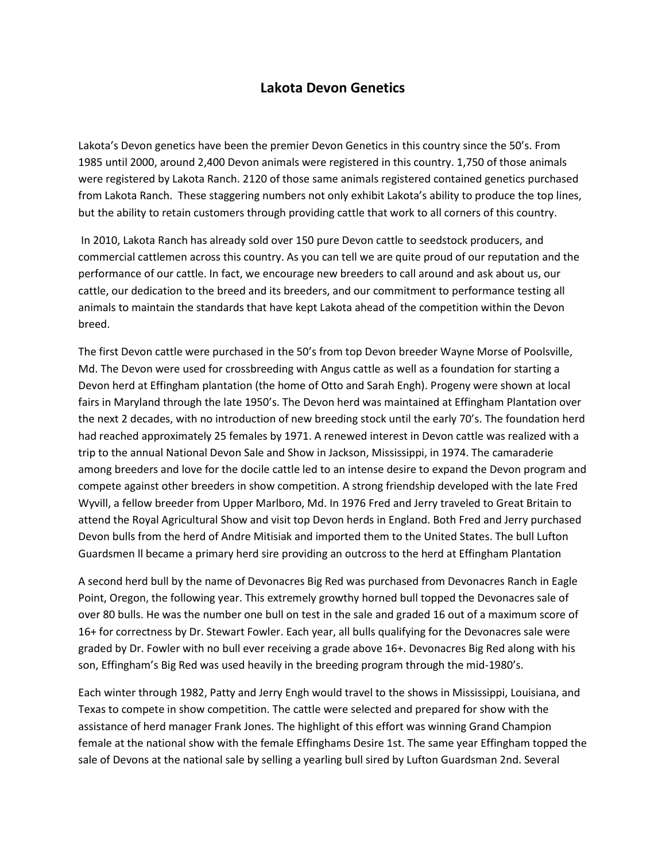## **Lakota Devon Genetics**

Lakota's Devon genetics have been the premier Devon Genetics in this country since the 50's. From 1985 until 2000, around 2,400 Devon animals were registered in this country. 1,750 of those animals were registered by Lakota Ranch. 2120 of those same animals registered contained genetics purchased from Lakota Ranch. These staggering numbers not only exhibit Lakota's ability to produce the top lines, but the ability to retain customers through providing cattle that work to all corners of this country.

In 2010, Lakota Ranch has already sold over 150 pure Devon cattle to seedstock producers, and commercial cattlemen across this country. As you can tell we are quite proud of our reputation and the performance of our cattle. In fact, we encourage new breeders to call around and ask about us, our cattle, our dedication to the breed and its breeders, and our commitment to performance testing all animals to maintain the standards that have kept Lakota ahead of the competition within the Devon breed.

The first Devon cattle were purchased in the 50's from top Devon breeder Wayne Morse of Poolsville, Md. The Devon were used for crossbreeding with Angus cattle as well as a foundation for starting a Devon herd at Effingham plantation (the home of Otto and Sarah Engh). Progeny were shown at local fairs in Maryland through the late 1950's. The Devon herd was maintained at Effingham Plantation over the next 2 decades, with no introduction of new breeding stock until the early 70's. The foundation herd had reached approximately 25 females by 1971. A renewed interest in Devon cattle was realized with a trip to the annual National Devon Sale and Show in Jackson, Mississippi, in 1974. The camaraderie among breeders and love for the docile cattle led to an intense desire to expand the Devon program and compete against other breeders in show competition. A strong friendship developed with the late Fred Wyvill, a fellow breeder from Upper Marlboro, Md. In 1976 Fred and Jerry traveled to Great Britain to attend the Royal Agricultural Show and visit top Devon herds in England. Both Fred and Jerry purchased Devon bulls from the herd of Andre Mitisiak and imported them to the United States. The bull Lufton Guardsmen ll became a primary herd sire providing an outcross to the herd at Effingham Plantation

A second herd bull by the name of Devonacres Big Red was purchased from Devonacres Ranch in Eagle Point, Oregon, the following year. This extremely growthy horned bull topped the Devonacres sale of over 80 bulls. He was the number one bull on test in the sale and graded 16 out of a maximum score of 16+ for correctness by Dr. Stewart Fowler. Each year, all bulls qualifying for the Devonacres sale were graded by Dr. Fowler with no bull ever receiving a grade above 16+. Devonacres Big Red along with his son, Effingham's Big Red was used heavily in the breeding program through the mid-1980's.

Each winter through 1982, Patty and Jerry Engh would travel to the shows in Mississippi, Louisiana, and Texas to compete in show competition. The cattle were selected and prepared for show with the assistance of herd manager Frank Jones. The highlight of this effort was winning Grand Champion female at the national show with the female Effinghams Desire 1st. The same year Effingham topped the sale of Devons at the national sale by selling a yearling bull sired by Lufton Guardsman 2nd. Several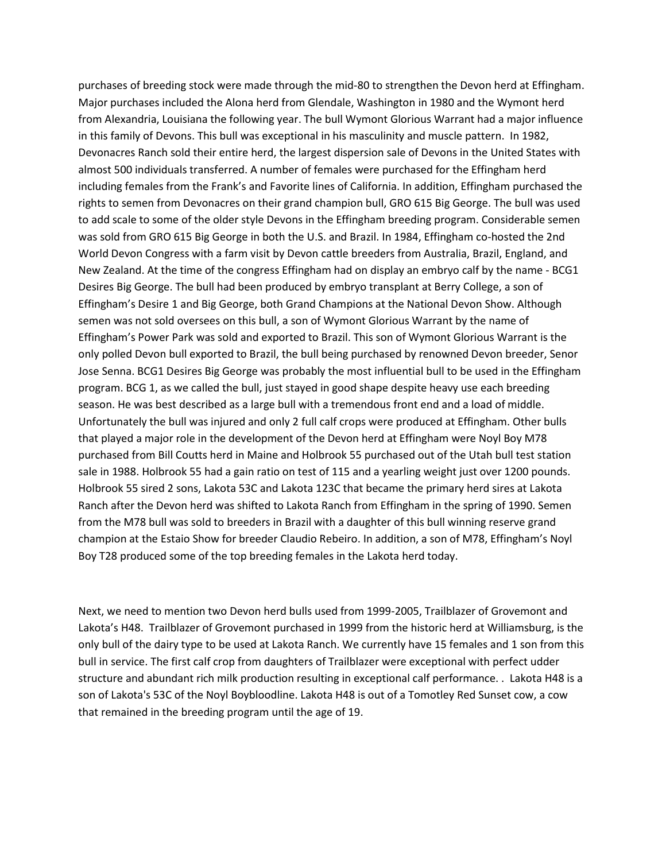purchases of breeding stock were made through the mid-80 to strengthen the Devon herd at Effingham. Major purchases included the Alona herd from Glendale, Washington in 1980 and the Wymont herd from Alexandria, Louisiana the following year. The bull Wymont Glorious Warrant had a major influence in this family of Devons. This bull was exceptional in his masculinity and muscle pattern. In 1982, Devonacres Ranch sold their entire herd, the largest dispersion sale of Devons in the United States with almost 500 individuals transferred. A number of females were purchased for the Effingham herd including females from the Frank's and Favorite lines of California. In addition, Effingham purchased the rights to semen from Devonacres on their grand champion bull, GRO 615 Big George. The bull was used to add scale to some of the older style Devons in the Effingham breeding program. Considerable semen was sold from GRO 615 Big George in both the U.S. and Brazil. In 1984, Effingham co-hosted the 2nd World Devon Congress with a farm visit by Devon cattle breeders from Australia, Brazil, England, and New Zealand. At the time of the congress Effingham had on display an embryo calf by the name - BCG1 Desires Big George. The bull had been produced by embryo transplant at Berry College, a son of Effingham's Desire 1 and Big George, both Grand Champions at the National Devon Show. Although semen was not sold oversees on this bull, a son of Wymont Glorious Warrant by the name of Effingham's Power Park was sold and exported to Brazil. This son of Wymont Glorious Warrant is the only polled Devon bull exported to Brazil, the bull being purchased by renowned Devon breeder, Senor Jose Senna. BCG1 Desires Big George was probably the most influential bull to be used in the Effingham program. BCG 1, as we called the bull, just stayed in good shape despite heavy use each breeding season. He was best described as a large bull with a tremendous front end and a load of middle. Unfortunately the bull was injured and only 2 full calf crops were produced at Effingham. Other bulls that played a major role in the development of the Devon herd at Effingham were Noyl Boy M78 purchased from Bill Coutts herd in Maine and Holbrook 55 purchased out of the Utah bull test station sale in 1988. Holbrook 55 had a gain ratio on test of 115 and a yearling weight just over 1200 pounds. Holbrook 55 sired 2 sons, Lakota 53C and Lakota 123C that became the primary herd sires at Lakota Ranch after the Devon herd was shifted to Lakota Ranch from Effingham in the spring of 1990. Semen from the M78 bull was sold to breeders in Brazil with a daughter of this bull winning reserve grand champion at the Estaio Show for breeder Claudio Rebeiro. In addition, a son of M78, Effingham's Noyl Boy T28 produced some of the top breeding females in the Lakota herd today.

Next, we need to mention two Devon herd bulls used from 1999-2005, Trailblazer of Grovemont and Lakota's H48. Trailblazer of Grovemont purchased in 1999 from the historic herd at Williamsburg, is the only bull of the dairy type to be used at Lakota Ranch. We currently have 15 females and 1 son from this bull in service. The first calf crop from daughters of Trailblazer were exceptional with perfect udder structure and abundant rich milk production resulting in exceptional calf performance. . Lakota H48 is a son of Lakota's 53C of the Noyl Boybloodline. Lakota H48 is out of a Tomotley Red Sunset cow, a cow that remained in the breeding program until the age of 19.